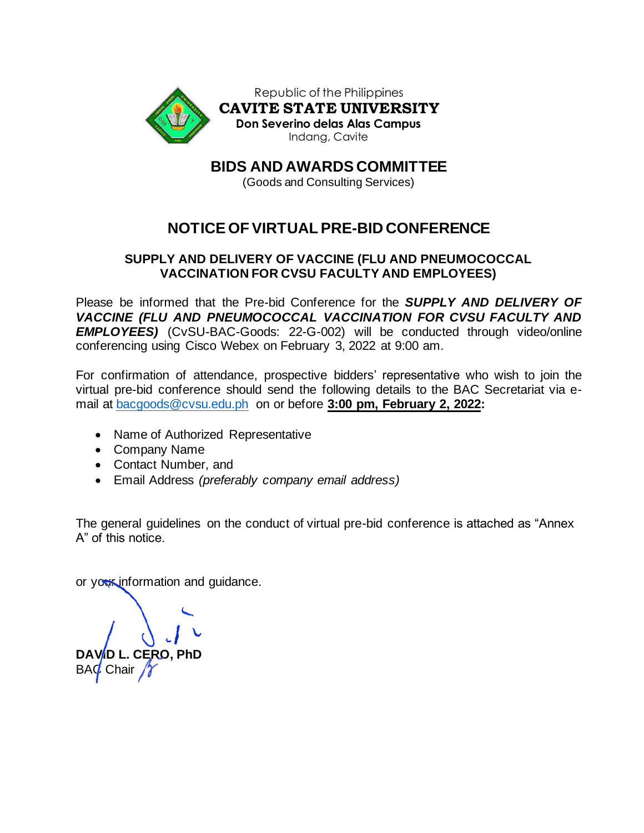

**BIDS AND AWARDS COMMITTEE**

(Goods and Consulting Services)

# **NOTICE OF VIRTUAL PRE-BID CONFERENCE**

## **SUPPLY AND DELIVERY OF VACCINE (FLU AND PNEUMOCOCCAL VACCINATION FOR CVSU FACULTY AND EMPLOYEES)**

Please be informed that the Pre-bid Conference for the *SUPPLY AND DELIVERY OF VACCINE (FLU AND PNEUMOCOCCAL VACCINATION FOR CVSU FACULTY AND EMPLOYEES)* (CvSU-BAC-Goods: 22-G-002) will be conducted through video/online conferencing using Cisco Webex on February 3, 2022 at 9:00 am.

For confirmation of attendance, prospective bidders' representative who wish to join the virtual pre-bid conference should send the following details to the BAC Secretariat via email at [bacgoods@cvsu.edu.ph](mailto:bacgoods@cvsu.edu.ph) on or before **3:00 pm, February 2, 2022:**

- Name of Authorized Representative
- Company Name
- Contact Number, and
- Email Address *(preferably company email address)*

The general guidelines on the conduct of virtual pre-bid conference is attached as "Annex A" of this notice.

or your information and guidance.

**CERO, PhD** BAC Chair